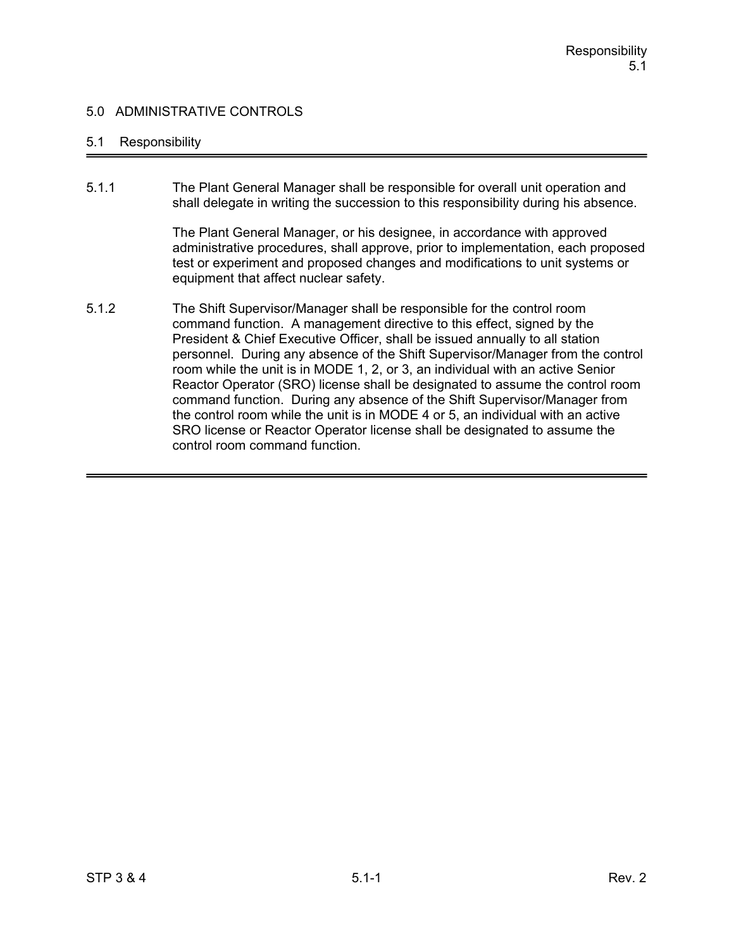### 5.1 Responsibility

5.1.1 The Plant General Manager shall be responsible for overall unit operation and shall delegate in writing the succession to this responsibility during his absence.

> The Plant General Manager, or his designee, in accordance with approved administrative procedures, shall approve, prior to implementation, each proposed test or experiment and proposed changes and modifications to unit systems or equipment that affect nuclear safety.

5.1.2 The Shift Supervisor/Manager shall be responsible for the control room command function. A management directive to this effect, signed by the President & Chief Executive Officer, shall be issued annually to all station personnel. During any absence of the Shift Supervisor/Manager from the control room while the unit is in MODE 1, 2, or 3, an individual with an active Senior Reactor Operator (SRO) license shall be designated to assume the control room command function. During any absence of the Shift Supervisor/Manager from the control room while the unit is in MODE 4 or 5, an individual with an active SRO license or Reactor Operator license shall be designated to assume the control room command function.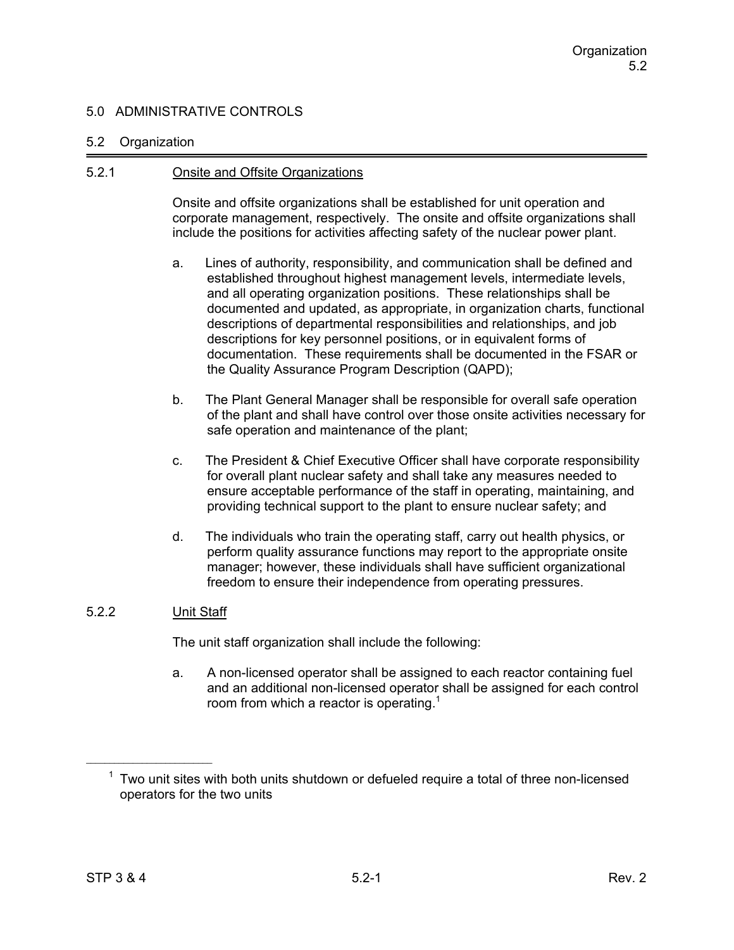#### 5.2 Organization

#### 5.2.1 Onsite and Offsite Organizations

Onsite and offsite organizations shall be established for unit operation and corporate management, respectively. The onsite and offsite organizations shall include the positions for activities affecting safety of the nuclear power plant.

- a. Lines of authority, responsibility, and communication shall be defined and established throughout highest management levels, intermediate levels, and all operating organization positions. These relationships shall be documented and updated, as appropriate, in organization charts, functional descriptions of departmental responsibilities and relationships, and job descriptions for key personnel positions, or in equivalent forms of documentation. These requirements shall be documented in the FSAR or the Quality Assurance Program Description (QAPD);
- b. The Plant General Manager shall be responsible for overall safe operation of the plant and shall have control over those onsite activities necessary for safe operation and maintenance of the plant;
- c. The President & Chief Executive Officer shall have corporate responsibility for overall plant nuclear safety and shall take any measures needed to ensure acceptable performance of the staff in operating, maintaining, and providing technical support to the plant to ensure nuclear safety; and
- d. The individuals who train the operating staff, carry out health physics, or perform quality assurance functions may report to the appropriate onsite manager; however, these individuals shall have sufficient organizational freedom to ensure their independence from operating pressures.

## 5.2.2 Unit Staff

The unit staff organization shall include the following:

a. A non-licensed operator shall be assigned to each reactor containing fuel and an additional non-licensed operator shall be assigned for each control room from which a reactor is operating.<sup>1</sup>

 $1$  Two unit sites with both units shutdown or defueled require a total of three non-licensed operators for the two units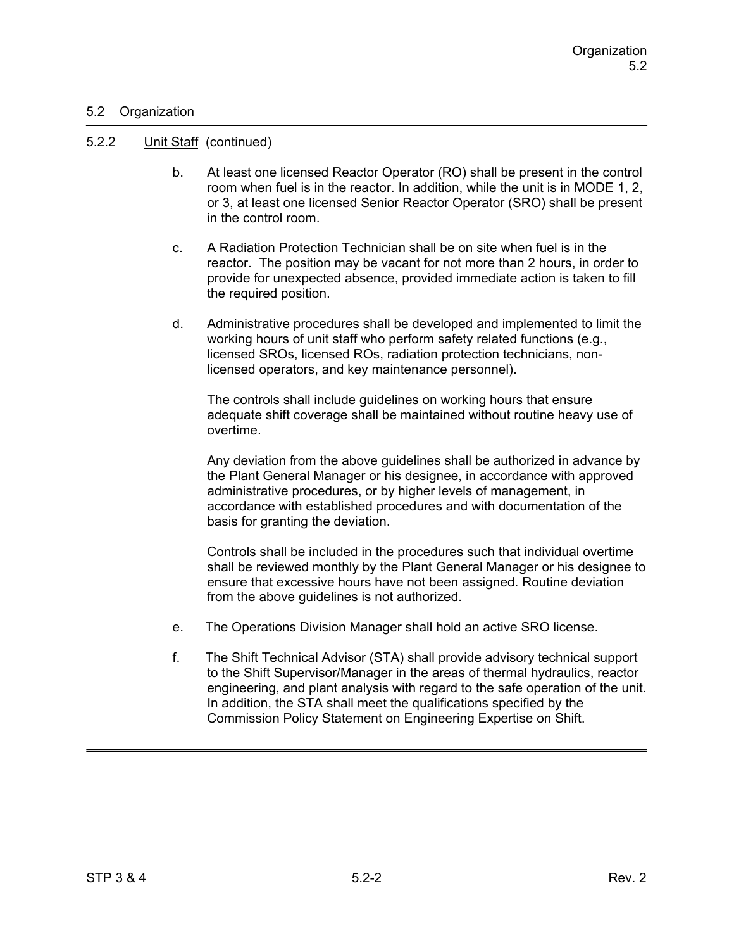### 5.2 Organization

#### 5.2.2 Unit Staff (continued)

- b. At least one licensed Reactor Operator (RO) shall be present in the control room when fuel is in the reactor. In addition, while the unit is in MODE 1, 2, or 3, at least one licensed Senior Reactor Operator (SRO) shall be present in the control room.
- c. A Radiation Protection Technician shall be on site when fuel is in the reactor. The position may be vacant for not more than 2 hours, in order to provide for unexpected absence, provided immediate action is taken to fill the required position.
- d. Administrative procedures shall be developed and implemented to limit the working hours of unit staff who perform safety related functions (e.g., licensed SROs, licensed ROs, radiation protection technicians, nonlicensed operators, and key maintenance personnel).

 The controls shall include guidelines on working hours that ensure adequate shift coverage shall be maintained without routine heavy use of overtime.

 Any deviation from the above guidelines shall be authorized in advance by the Plant General Manager or his designee, in accordance with approved administrative procedures, or by higher levels of management, in accordance with established procedures and with documentation of the basis for granting the deviation.

Controls shall be included in the procedures such that individual overtime shall be reviewed monthly by the Plant General Manager or his designee to ensure that excessive hours have not been assigned. Routine deviation from the above guidelines is not authorized.

- e. The Operations Division Manager shall hold an active SRO license.
- f. The Shift Technical Advisor (STA) shall provide advisory technical support to the Shift Supervisor/Manager in the areas of thermal hydraulics, reactor engineering, and plant analysis with regard to the safe operation of the unit. In addition, the STA shall meet the qualifications specified by the Commission Policy Statement on Engineering Expertise on Shift.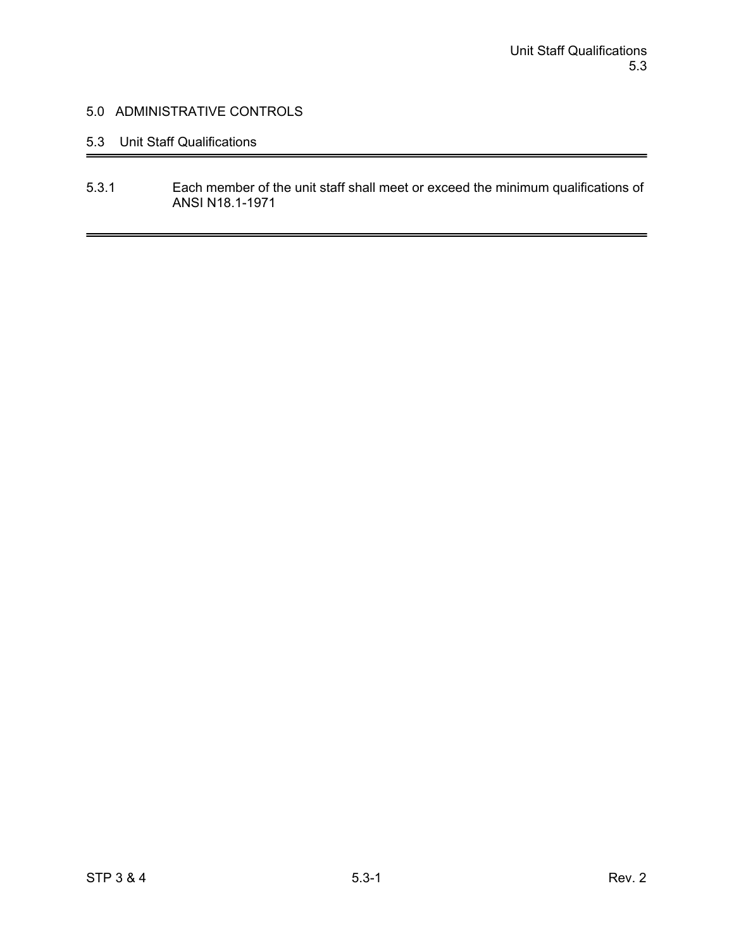# 5.3 Unit Staff Qualifications

5.3.1 Each member of the unit staff shall meet or exceed the minimum qualifications of ANSI N18.1-1971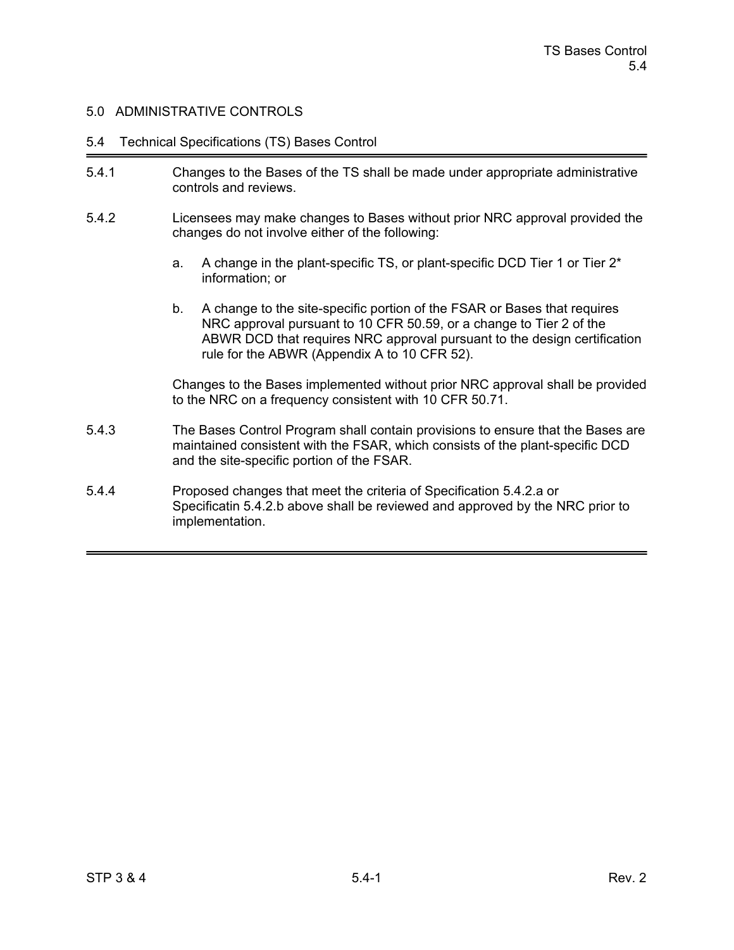#### 5.4 Technical Specifications (TS) Bases Control

- 5.4.1 Changes to the Bases of the TS shall be made under appropriate administrative controls and reviews.
- 5.4.2 Licensees may make changes to Bases without prior NRC approval provided the changes do not involve either of the following:
	- a. A change in the plant-specific TS, or plant-specific DCD Tier 1 or Tier 2\* information; or
	- b. A change to the site-specific portion of the FSAR or Bases that requires NRC approval pursuant to 10 CFR 50.59, or a change to Tier 2 of the ABWR DCD that requires NRC approval pursuant to the design certification rule for the ABWR (Appendix A to 10 CFR 52).

Changes to the Bases implemented without prior NRC approval shall be provided to the NRC on a frequency consistent with 10 CFR 50.71.

- 5.4.3 The Bases Control Program shall contain provisions to ensure that the Bases are maintained consistent with the FSAR, which consists of the plant-specific DCD and the site-specific portion of the FSAR.
- 5.4.4 Proposed changes that meet the criteria of Specification 5.4.2.a or Specificatin 5.4.2.b above shall be reviewed and approved by the NRC prior to implementation.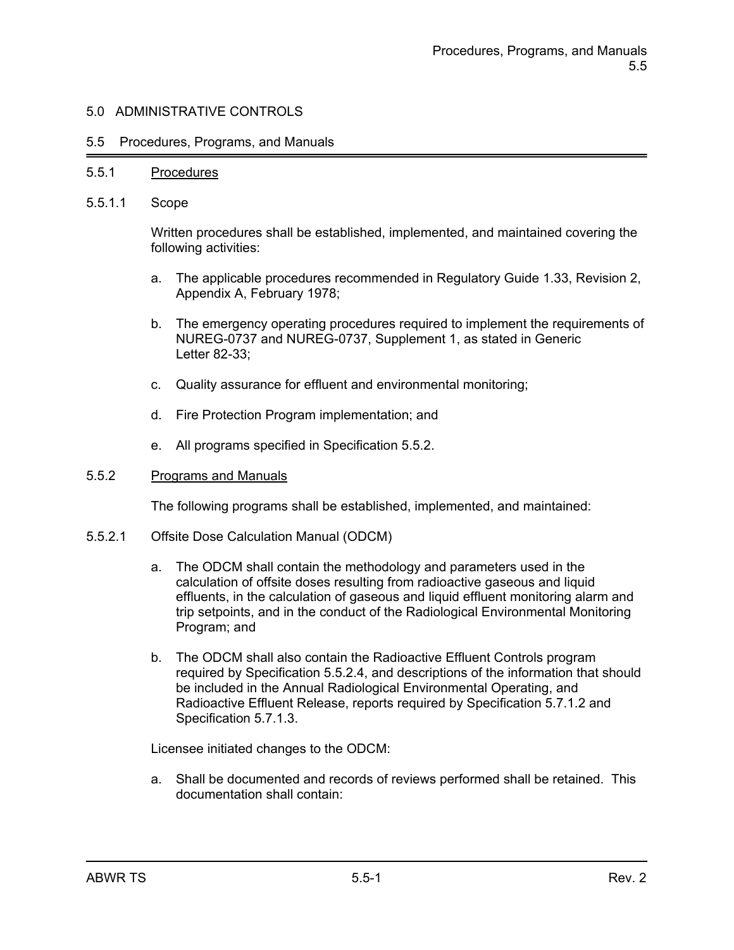#### 5.5 Procedures, Programs, and Manuals

#### 5.5.1 Procedures

5.5.1.1 Scope

Written procedures shall be established, implemented, and maintained covering the following activities:

- a. The applicable procedures recommended in Regulatory Guide 1.33, Revision 2, Appendix A, February 1978;
- b. The emergency operating procedures required to implement the requirements of NUREG-0737 and NUREG-0737, Supplement 1, as stated in Generic Letter 82-33;
- c. Quality assurance for effluent and environmental monitoring;
- d. Fire Protection Program implementation; and
- e. All programs specified in Specification 5.5.2.

#### 5.5.2 Programs and Manuals

The following programs shall be established, implemented, and maintained:

- 5.5.2.1 Offsite Dose Calculation Manual (ODCM)
	- a. The ODCM shall contain the methodology and parameters used in the calculation of offsite doses resulting from radioactive gaseous and liquid effluents, in the calculation of gaseous and liquid effluent monitoring alarm and trip setpoints, and in the conduct of the Radiological Environmental Monitoring Program; and
	- b. The ODCM shall also contain the Radioactive Effluent Controls program required by Specification 5.5.2.4, and descriptions of the information that should be included in the Annual Radiological Environmental Operating, and Radioactive Effluent Release, reports required by Specification 5.7.1.2 and Specification 5.7.1.3.

Licensee initiated changes to the ODCM:

a. Shall be documented and records of reviews performed shall be retained. This documentation shall contain: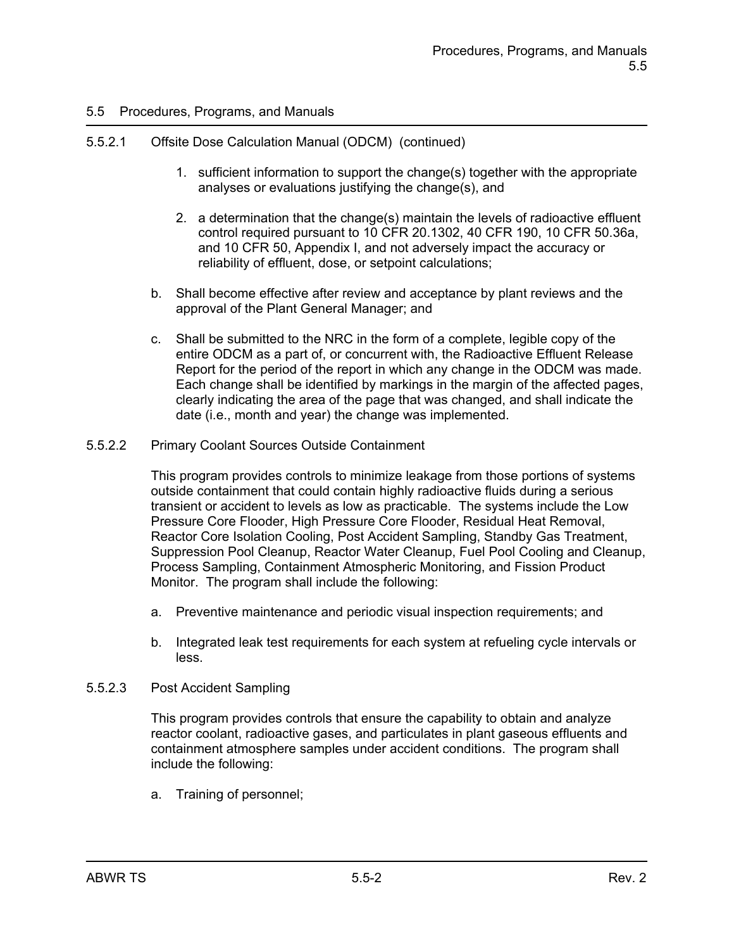## 5.5.2.1 Offsite Dose Calculation Manual (ODCM) (continued)

- 1. sufficient information to support the change(s) together with the appropriate analyses or evaluations justifying the change(s), and
- 2. a determination that the change(s) maintain the levels of radioactive effluent control required pursuant to 10 CFR 20.1302, 40 CFR 190, 10 CFR 50.36a, and 10 CFR 50, Appendix I, and not adversely impact the accuracy or reliability of effluent, dose, or setpoint calculations;
- b. Shall become effective after review and acceptance by plant reviews and the approval of the Plant General Manager; and
- c. Shall be submitted to the NRC in the form of a complete, legible copy of the entire ODCM as a part of, or concurrent with, the Radioactive Effluent Release Report for the period of the report in which any change in the ODCM was made. Each change shall be identified by markings in the margin of the affected pages, clearly indicating the area of the page that was changed, and shall indicate the date (i.e., month and year) the change was implemented.
- 5.5.2.2 Primary Coolant Sources Outside Containment

This program provides controls to minimize leakage from those portions of systems outside containment that could contain highly radioactive fluids during a serious transient or accident to levels as low as practicable. The systems include the Low Pressure Core Flooder, High Pressure Core Flooder, Residual Heat Removal, Reactor Core Isolation Cooling, Post Accident Sampling, Standby Gas Treatment, Suppression Pool Cleanup, Reactor Water Cleanup, Fuel Pool Cooling and Cleanup, Process Sampling, Containment Atmospheric Monitoring, and Fission Product Monitor. The program shall include the following:

- a. Preventive maintenance and periodic visual inspection requirements; and
- b. Integrated leak test requirements for each system at refueling cycle intervals or less.
- 5.5.2.3 Post Accident Sampling

This program provides controls that ensure the capability to obtain and analyze reactor coolant, radioactive gases, and particulates in plant gaseous effluents and containment atmosphere samples under accident conditions. The program shall include the following:

a. Training of personnel;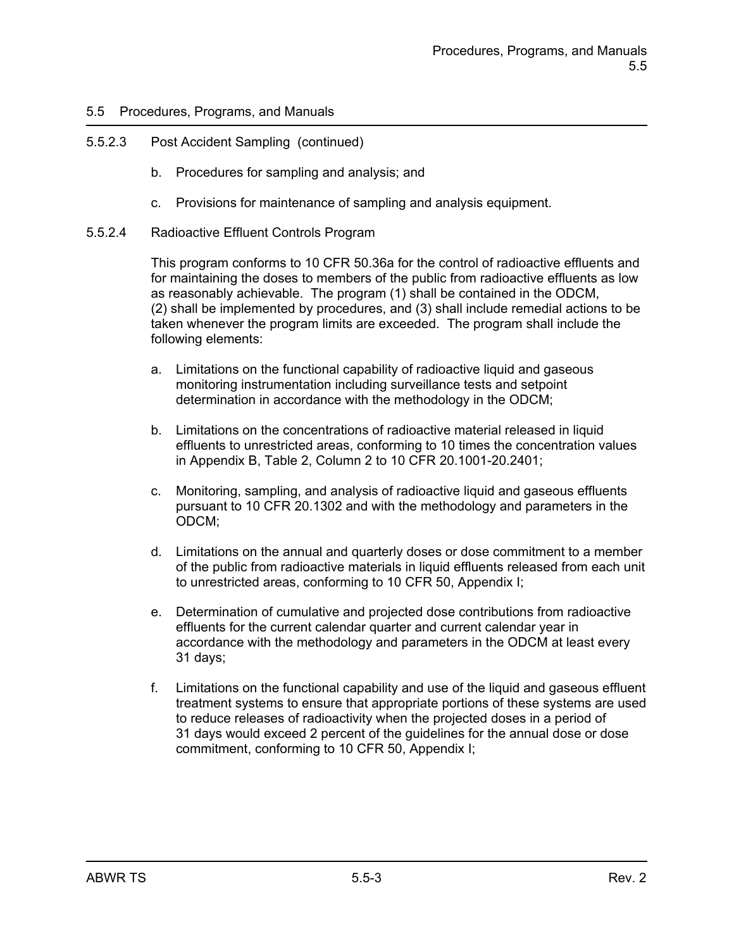## 5.5.2.3 Post Accident Sampling (continued)

- b. Procedures for sampling and analysis; and
- c. Provisions for maintenance of sampling and analysis equipment.
- 5.5.2.4 Radioactive Effluent Controls Program

This program conforms to 10 CFR 50.36a for the control of radioactive effluents and for maintaining the doses to members of the public from radioactive effluents as low as reasonably achievable. The program (1) shall be contained in the ODCM, (2) shall be implemented by procedures, and (3) shall include remedial actions to be taken whenever the program limits are exceeded. The program shall include the following elements:

- a. Limitations on the functional capability of radioactive liquid and gaseous monitoring instrumentation including surveillance tests and setpoint determination in accordance with the methodology in the ODCM;
- b. Limitations on the concentrations of radioactive material released in liquid effluents to unrestricted areas, conforming to 10 times the concentration values in Appendix B, Table 2, Column 2 to 10 CFR 20.1001-20.2401;
- c. Monitoring, sampling, and analysis of radioactive liquid and gaseous effluents pursuant to 10 CFR 20.1302 and with the methodology and parameters in the ODCM;
- d. Limitations on the annual and quarterly doses or dose commitment to a member of the public from radioactive materials in liquid effluents released from each unit to unrestricted areas, conforming to 10 CFR 50, Appendix I;
- e. Determination of cumulative and projected dose contributions from radioactive effluents for the current calendar quarter and current calendar year in accordance with the methodology and parameters in the ODCM at least every 31 days;
- f. Limitations on the functional capability and use of the liquid and gaseous effluent treatment systems to ensure that appropriate portions of these systems are used to reduce releases of radioactivity when the projected doses in a period of 31 days would exceed 2 percent of the guidelines for the annual dose or dose commitment, conforming to 10 CFR 50, Appendix I;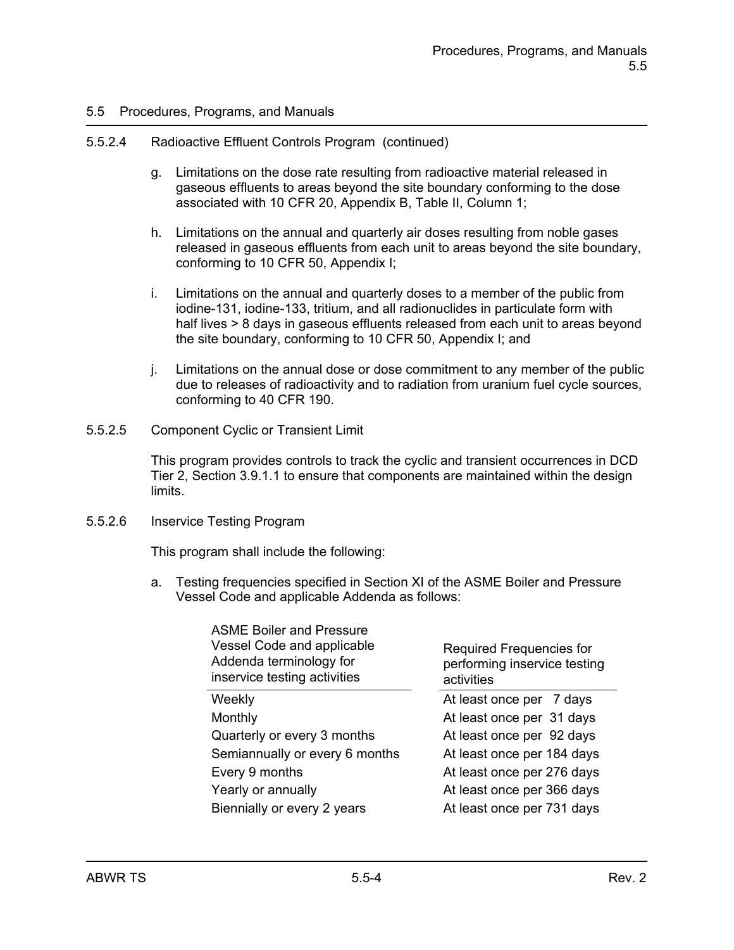#### 5.5.2.4 Radioactive Effluent Controls Program (continued)

- g. Limitations on the dose rate resulting from radioactive material released in gaseous effluents to areas beyond the site boundary conforming to the dose associated with 10 CFR 20, Appendix B, Table II, Column 1;
- h. Limitations on the annual and quarterly air doses resulting from noble gases released in gaseous effluents from each unit to areas beyond the site boundary, conforming to 10 CFR 50, Appendix I;
- i. Limitations on the annual and quarterly doses to a member of the public from iodine-131, iodine-133, tritium, and all radionuclides in particulate form with half lives > 8 days in gaseous effluents released from each unit to areas beyond the site boundary, conforming to 10 CFR 50, Appendix I; and
- j. Limitations on the annual dose or dose commitment to any member of the public due to releases of radioactivity and to radiation from uranium fuel cycle sources, conforming to 40 CFR 190.
- 5.5.2.5 Component Cyclic or Transient Limit

This program provides controls to track the cyclic and transient occurrences in DCD Tier 2, Section 3.9.1.1 to ensure that components are maintained within the design limits.

#### 5.5.2.6 Inservice Testing Program

This program shall include the following:

a. Testing frequencies specified in Section XI of the ASME Boiler and Pressure Vessel Code and applicable Addenda as follows:

| <b>Required Frequencies for</b><br>performing inservice testing<br>activities |
|-------------------------------------------------------------------------------|
| At least once per 7 days                                                      |
| At least once per 31 days                                                     |
| At least once per 92 days                                                     |
| At least once per 184 days                                                    |
| At least once per 276 days                                                    |
| At least once per 366 days                                                    |
| At least once per 731 days                                                    |
|                                                                               |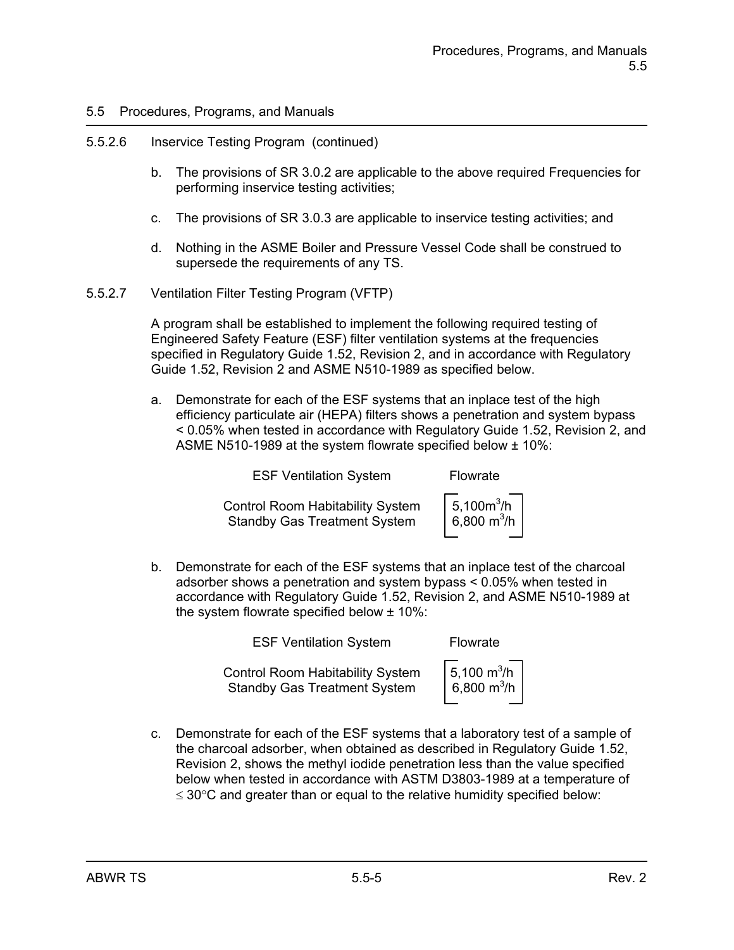### 5.5.2.6 Inservice Testing Program (continued)

- b. The provisions of SR 3.0.2 are applicable to the above required Frequencies for performing inservice testing activities;
- c. The provisions of SR 3.0.3 are applicable to inservice testing activities; and
- d. Nothing in the ASME Boiler and Pressure Vessel Code shall be construed to supersede the requirements of any TS.
- 5.5.2.7 Ventilation Filter Testing Program (VFTP)

A program shall be established to implement the following required testing of Engineered Safety Feature (ESF) filter ventilation systems at the frequencies specified in Regulatory Guide 1.52, Revision 2, and in accordance with Regulatory Guide 1.52, Revision 2 and ASME N510-1989 as specified below.

a. Demonstrate for each of the ESF systems that an inplace test of the high efficiency particulate air (HEPA) filters shows a penetration and system bypass < 0.05% when tested in accordance with Regulatory Guide 1.52, Revision 2, and ASME N510-1989 at the system flowrate specified below ± 10%:

| <b>ESF Ventilation System</b>                                                  |                                 |
|--------------------------------------------------------------------------------|---------------------------------|
| <b>Control Room Habitability System</b><br><b>Standby Gas Treatment System</b> | $  5,100m^3/h$<br>6,800 $m^3/h$ |

b. Demonstrate for each of the ESF systems that an inplace test of the charcoal adsorber shows a penetration and system bypass < 0.05% when tested in accordance with Regulatory Guide 1.52, Revision 2, and ASME N510-1989 at the system flowrate specified below ± 10%:

| <b>ESF Ventilation System</b>                                                  | Flowrate                                                      |
|--------------------------------------------------------------------------------|---------------------------------------------------------------|
| <b>Control Room Habitability System</b><br><b>Standby Gas Treatment System</b> | $\sqrt{\frac{5,100 \text{ m}^3}{6,800 \text{ m}^3/\text{h}}}$ |

c. Demonstrate for each of the ESF systems that a laboratory test of a sample of the charcoal adsorber, when obtained as described in Regulatory Guide 1.52, Revision 2, shows the methyl iodide penetration less than the value specified below when tested in accordance with ASTM D3803-1989 at a temperature of  $\leq$  30 $\degree$ C and greater than or equal to the relative humidity specified below: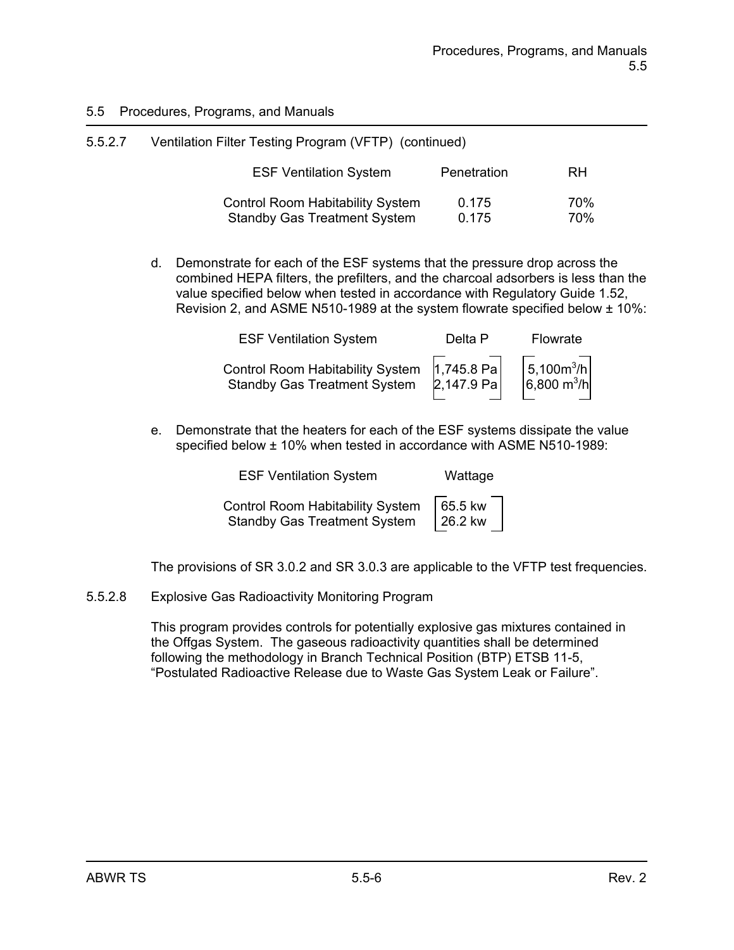| 5.5.2.7 | Ventilation Filter Testing Program (VFTP) (continued) |             |     |
|---------|-------------------------------------------------------|-------------|-----|
|         | <b>ESF Ventilation System</b>                         | Penetration | RH  |
|         | <b>Control Room Habitability System</b>               | 0.175       | 70% |
|         | <b>Standby Gas Treatment System</b>                   | 0.175       | 70% |

d. Demonstrate for each of the ESF systems that the pressure drop across the combined HEPA filters, the prefilters, and the charcoal adsorbers is less than the value specified below when tested in accordance with Regulatory Guide 1.52, Revision 2, and ASME N510-1989 at the system flowrate specified below ± 10%:

| <b>ESF Ventilation System</b>                                                                                                                                   | Delta P | Flowrate |
|-----------------------------------------------------------------------------------------------------------------------------------------------------------------|---------|----------|
| Control Room Habitability System $\begin{bmatrix} 1,745.8 & Pa \\ 2,147.9 & Pa \end{bmatrix}$ 5,100m <sup>3</sup> /h<br>Standby Gas Treatment System 2,147.9 Pa |         |          |

e. Demonstrate that the heaters for each of the ESF systems dissipate the value specified below ± 10% when tested in accordance with ASME N510-1989:

| <b>ESF Ventilation System</b>           | Wattage |
|-----------------------------------------|---------|
| <b>Control Room Habitability System</b> | 65.5 kw |
| <b>Standby Gas Treatment System</b>     | 26.2 kw |

The provisions of SR 3.0.2 and SR 3.0.3 are applicable to the VFTP test frequencies.

5.5.2.8 Explosive Gas Radioactivity Monitoring Program

This program provides controls for potentially explosive gas mixtures contained in the Offgas System. The gaseous radioactivity quantities shall be determined following the methodology in Branch Technical Position (BTP) ETSB 11-5, "Postulated Radioactive Release due to Waste Gas System Leak or Failure".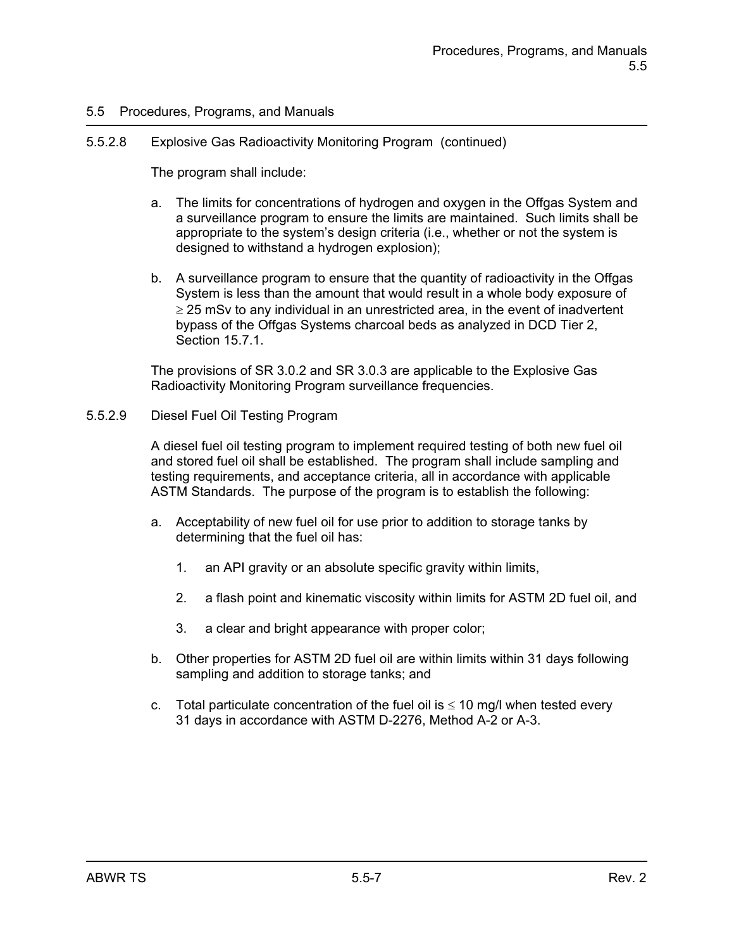## 5.5.2.8 Explosive Gas Radioactivity Monitoring Program (continued)

The program shall include:

- a. The limits for concentrations of hydrogen and oxygen in the Offgas System and a surveillance program to ensure the limits are maintained. Such limits shall be appropriate to the system's design criteria (i.e., whether or not the system is designed to withstand a hydrogen explosion);
- b. A surveillance program to ensure that the quantity of radioactivity in the Offgas System is less than the amount that would result in a whole body exposure of  $\geq$  25 mSv to any individual in an unrestricted area, in the event of inadvertent bypass of the Offgas Systems charcoal beds as analyzed in DCD Tier 2, Section 15.7.1.

The provisions of SR 3.0.2 and SR 3.0.3 are applicable to the Explosive Gas Radioactivity Monitoring Program surveillance frequencies.

#### 5.5.2.9 Diesel Fuel Oil Testing Program

A diesel fuel oil testing program to implement required testing of both new fuel oil and stored fuel oil shall be established. The program shall include sampling and testing requirements, and acceptance criteria, all in accordance with applicable ASTM Standards. The purpose of the program is to establish the following:

- a. Acceptability of new fuel oil for use prior to addition to storage tanks by determining that the fuel oil has:
	- 1. an API gravity or an absolute specific gravity within limits,
	- 2. a flash point and kinematic viscosity within limits for ASTM 2D fuel oil, and
	- 3. a clear and bright appearance with proper color;
- b. Other properties for ASTM 2D fuel oil are within limits within 31 days following sampling and addition to storage tanks; and
- c. Total particulate concentration of the fuel oil is  $\leq 10$  mg/l when tested every 31 days in accordance with ASTM D-2276, Method A-2 or A-3.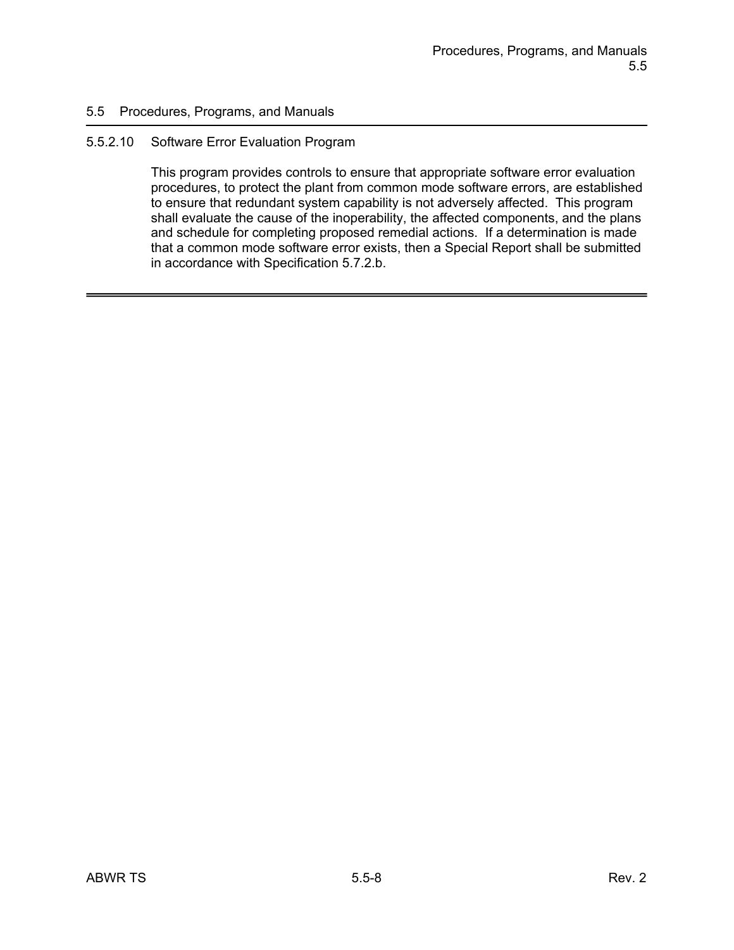#### 5.5.2.10 Software Error Evaluation Program

This program provides controls to ensure that appropriate software error evaluation procedures, to protect the plant from common mode software errors, are established to ensure that redundant system capability is not adversely affected. This program shall evaluate the cause of the inoperability, the affected components, and the plans and schedule for completing proposed remedial actions. If a determination is made that a common mode software error exists, then a Special Report shall be submitted in accordance with Specification 5.7.2.b.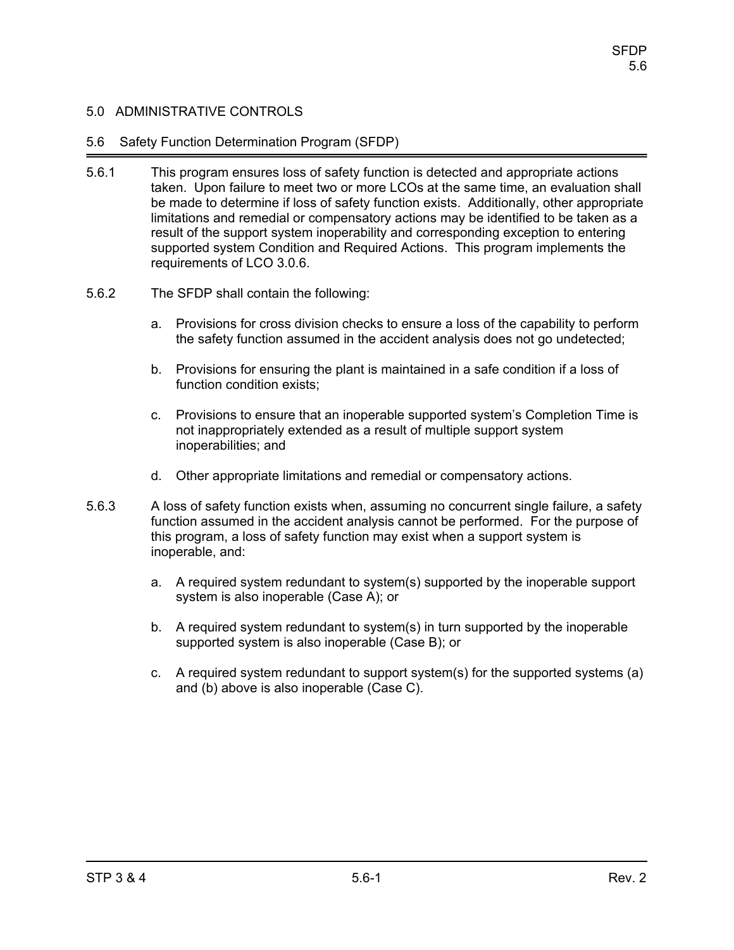### 5.6 Safety Function Determination Program (SFDP)

- 5.6.1 This program ensures loss of safety function is detected and appropriate actions taken. Upon failure to meet two or more LCOs at the same time, an evaluation shall be made to determine if loss of safety function exists. Additionally, other appropriate limitations and remedial or compensatory actions may be identified to be taken as a result of the support system inoperability and corresponding exception to entering supported system Condition and Required Actions. This program implements the requirements of LCO 3.0.6.
- 5.6.2 The SFDP shall contain the following:
	- a. Provisions for cross division checks to ensure a loss of the capability to perform the safety function assumed in the accident analysis does not go undetected;
	- b. Provisions for ensuring the plant is maintained in a safe condition if a loss of function condition exists;
	- c. Provisions to ensure that an inoperable supported system's Completion Time is not inappropriately extended as a result of multiple support system inoperabilities; and
	- d. Other appropriate limitations and remedial or compensatory actions.
- 5.6.3 A loss of safety function exists when, assuming no concurrent single failure, a safety function assumed in the accident analysis cannot be performed. For the purpose of this program, a loss of safety function may exist when a support system is inoperable, and:
	- a. A required system redundant to system(s) supported by the inoperable support system is also inoperable (Case A); or
	- b. A required system redundant to system(s) in turn supported by the inoperable supported system is also inoperable (Case B); or
	- c. A required system redundant to support system(s) for the supported systems (a) and (b) above is also inoperable (Case C).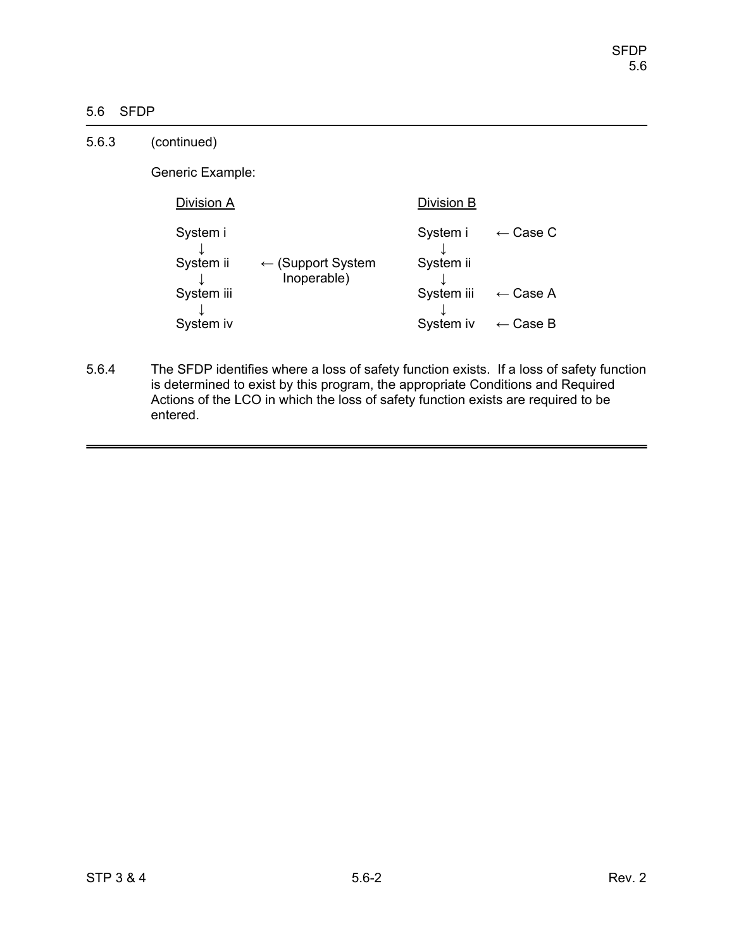# 5.6 SFDP

| 5.6.3 | (continued)           |                                             |                       |                     |
|-------|-----------------------|---------------------------------------------|-----------------------|---------------------|
|       | Generic Example:      |                                             |                       |                     |
|       | Division A            |                                             | Division B            |                     |
|       | System i<br>System ii | $\leftarrow$ (Support System<br>Inoperable) | System i<br>System ii | $\leftarrow$ Case C |
|       | System iii            |                                             | System iii            | $\leftarrow$ Case A |
|       | System iv             |                                             | System iv             | $\leftarrow$ Case B |

5.6.4 The SFDP identifies where a loss of safety function exists. If a loss of safety function is determined to exist by this program, the appropriate Conditions and Required Actions of the LCO in which the loss of safety function exists are required to be entered.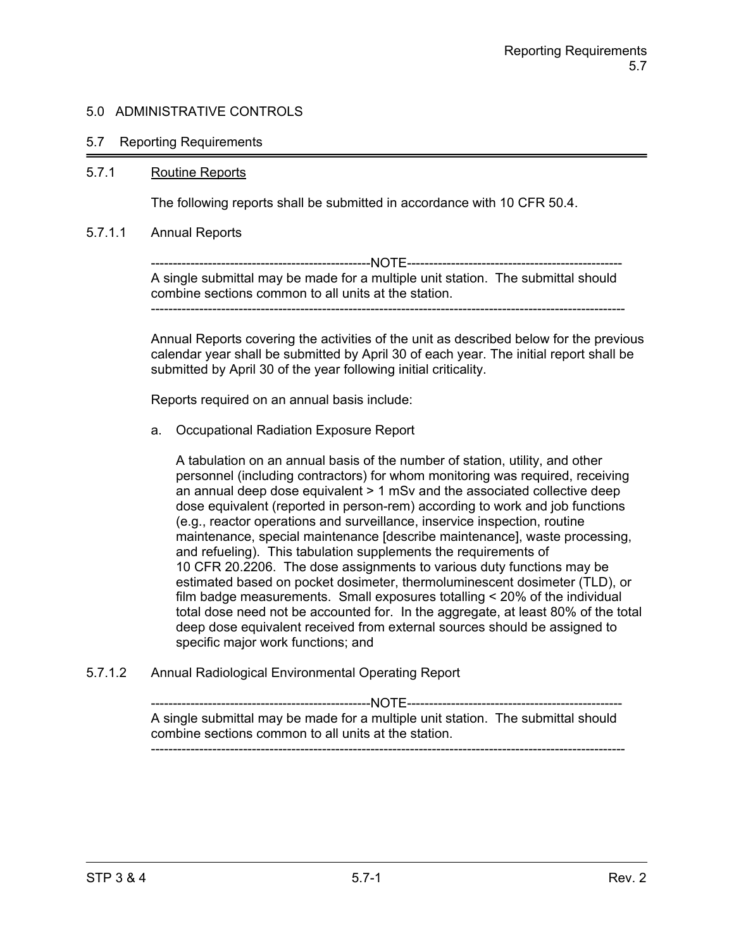#### 5.7 Reporting Requirements

#### 5.7.1 Routine Reports

The following reports shall be submitted in accordance with 10 CFR 50.4.

#### 5.7.1.1 Annual Reports

--------------------------------------------------NOTE------------------------------------------------- A single submittal may be made for a multiple unit station. The submittal should combine sections common to all units at the station. ------------------------------------------------------------------------------------------------------------

Annual Reports covering the activities of the unit as described below for the previous calendar year shall be submitted by April 30 of each year. The initial report shall be submitted by April 30 of the year following initial criticality.

Reports required on an annual basis include:

a. Occupational Radiation Exposure Report

A tabulation on an annual basis of the number of station, utility, and other personnel (including contractors) for whom monitoring was required, receiving an annual deep dose equivalent > 1 mSv and the associated collective deep dose equivalent (reported in person-rem) according to work and job functions (e.g., reactor operations and surveillance, inservice inspection, routine maintenance, special maintenance [describe maintenance], waste processing, and refueling). This tabulation supplements the requirements of 10 CFR 20.2206. The dose assignments to various duty functions may be estimated based on pocket dosimeter, thermoluminescent dosimeter (TLD), or film badge measurements. Small exposures totalling < 20% of the individual total dose need not be accounted for. In the aggregate, at least 80% of the total deep dose equivalent received from external sources should be assigned to specific major work functions; and

5.7.1.2 Annual Radiological Environmental Operating Report

--------------------------------------------------NOTE------------------------------------------------- A single submittal may be made for a multiple unit station. The submittal should combine sections common to all units at the station. ------------------------------------------------------------------------------------------------------------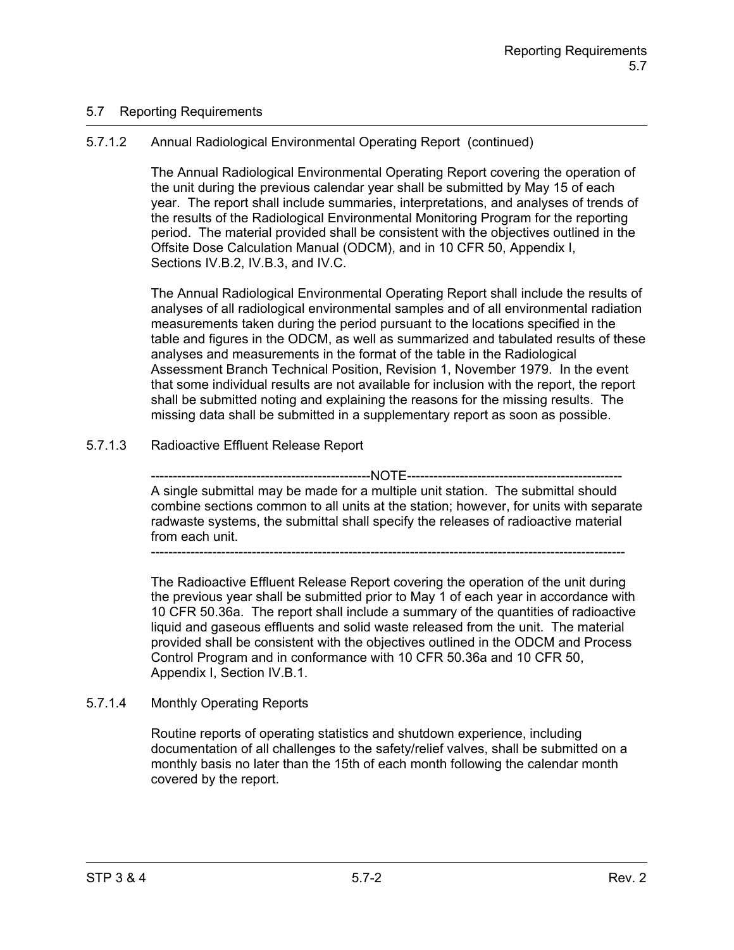# 5.7 Reporting Requirements

# 5.7.1.2 Annual Radiological Environmental Operating Report (continued)

The Annual Radiological Environmental Operating Report covering the operation of the unit during the previous calendar year shall be submitted by May 15 of each year. The report shall include summaries, interpretations, and analyses of trends of the results of the Radiological Environmental Monitoring Program for the reporting period. The material provided shall be consistent with the objectives outlined in the Offsite Dose Calculation Manual (ODCM), and in 10 CFR 50, Appendix I, Sections IV.B.2, IV.B.3, and IV.C.

The Annual Radiological Environmental Operating Report shall include the results of analyses of all radiological environmental samples and of all environmental radiation measurements taken during the period pursuant to the locations specified in the table and figures in the ODCM, as well as summarized and tabulated results of these analyses and measurements in the format of the table in the Radiological Assessment Branch Technical Position, Revision 1, November 1979. In the event that some individual results are not available for inclusion with the report, the report shall be submitted noting and explaining the reasons for the missing results. The missing data shall be submitted in a supplementary report as soon as possible.

# 5.7.1.3 Radioactive Effluent Release Report

--------------NOTE-------------A single submittal may be made for a multiple unit station. The submittal should combine sections common to all units at the station; however, for units with separate radwaste systems, the submittal shall specify the releases of radioactive material from each unit.

------------------------------------------------------------------------------------------------------------

The Radioactive Effluent Release Report covering the operation of the unit during the previous year shall be submitted prior to May 1 of each year in accordance with 10 CFR 50.36a. The report shall include a summary of the quantities of radioactive liquid and gaseous effluents and solid waste released from the unit. The material provided shall be consistent with the objectives outlined in the ODCM and Process Control Program and in conformance with 10 CFR 50.36a and 10 CFR 50, Appendix I, Section IV.B.1.

## 5.7.1.4 Monthly Operating Reports

Routine reports of operating statistics and shutdown experience, including documentation of all challenges to the safety/relief valves, shall be submitted on a monthly basis no later than the 15th of each month following the calendar month covered by the report.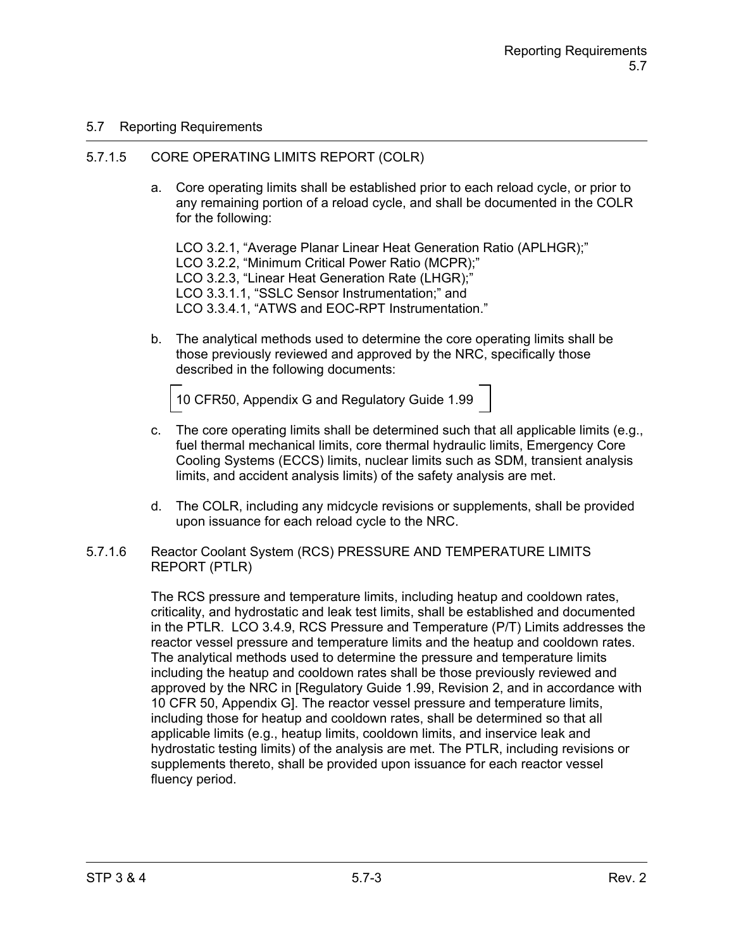## 5.7 Reporting Requirements

### 5.7.1.5 CORE OPERATING LIMITS REPORT (COLR)

a. Core operating limits shall be established prior to each reload cycle, or prior to any remaining portion of a reload cycle, and shall be documented in the COLR for the following:

LCO 3.2.1, "Average Planar Linear Heat Generation Ratio (APLHGR);" LCO 3.2.2, "Minimum Critical Power Ratio (MCPR);" LCO 3.2.3, "Linear Heat Generation Rate (LHGR);" LCO 3.3.1.1, "SSLC Sensor Instrumentation;" and LCO 3.3.4.1, "ATWS and EOC-RPT Instrumentation."

b. The analytical methods used to determine the core operating limits shall be those previously reviewed and approved by the NRC, specifically those described in the following documents:

10 CFR50, Appendix G and Regulatory Guide 1.99

- c. The core operating limits shall be determined such that all applicable limits (e.g., fuel thermal mechanical limits, core thermal hydraulic limits, Emergency Core Cooling Systems (ECCS) limits, nuclear limits such as SDM, transient analysis limits, and accident analysis limits) of the safety analysis are met.
- d. The COLR, including any midcycle revisions or supplements, shall be provided upon issuance for each reload cycle to the NRC.
- 5.7.1.6 Reactor Coolant System (RCS) PRESSURE AND TEMPERATURE LIMITS REPORT (PTLR)

The RCS pressure and temperature limits, including heatup and cooldown rates, criticality, and hydrostatic and leak test limits, shall be established and documented in the PTLR. LCO 3.4.9, RCS Pressure and Temperature (P/T) Limits addresses the reactor vessel pressure and temperature limits and the heatup and cooldown rates. The analytical methods used to determine the pressure and temperature limits including the heatup and cooldown rates shall be those previously reviewed and approved by the NRC in [Regulatory Guide 1.99, Revision 2, and in accordance with 10 CFR 50, Appendix G]. The reactor vessel pressure and temperature limits, including those for heatup and cooldown rates, shall be determined so that all applicable limits (e.g., heatup limits, cooldown limits, and inservice leak and hydrostatic testing limits) of the analysis are met. The PTLR, including revisions or supplements thereto, shall be provided upon issuance for each reactor vessel fluency period.